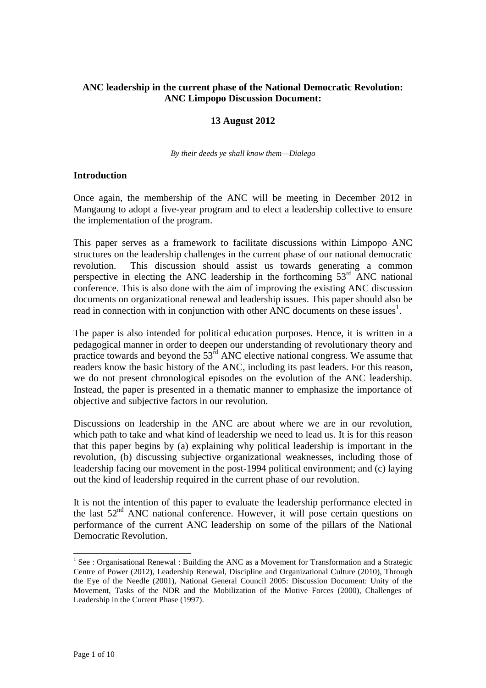### **ANC leadership in the current phase of the National Democratic Revolution: ANC Limpopo Discussion Document:**

### **13 August 2012**

*By their deeds ye shall know them—Dialego*

#### **Introduction**

Once again, the membership of the ANC will be meeting in December 2012 in Mangaung to adopt a five-year program and to elect a leadership collective to ensure the implementation of the program.

This paper serves as a framework to facilitate discussions within Limpopo ANC structures on the leadership challenges in the current phase of our national democratic revolution. This discussion should assist us towards generating a common perspective in electing the ANC leadership in the forthcoming  $53<sup>rd</sup>$  ANC national conference. This is also done with the aim of improving the existing ANC discussion documents on organizational renewal and leadership issues. This paper should also be read in connection with in conjunction with other ANC documents on these issues<sup>1</sup>.

The paper is also intended for political education purposes. Hence, it is written in a pedagogical manner in order to deepen our understanding of revolutionary theory and practice towards and beyond the  $53<sup>rd</sup>$  ANC elective national congress. We assume that readers know the basic history of the ANC, including its past leaders. For this reason, we do not present chronological episodes on the evolution of the ANC leadership. Instead, the paper is presented in a thematic manner to emphasize the importance of objective and subjective factors in our revolution.

Discussions on leadership in the ANC are about where we are in our revolution, which path to take and what kind of leadership we need to lead us. It is for this reason that this paper begins by (a) explaining why political leadership is important in the revolution, (b) discussing subjective organizational weaknesses, including those of leadership facing our movement in the post-1994 political environment; and (c) laying out the kind of leadership required in the current phase of our revolution.

It is not the intention of this paper to evaluate the leadership performance elected in the last  $52<sup>nd</sup>$  ANC national conference. However, it will pose certain questions on performance of the current ANC leadership on some of the pillars of the National Democratic Revolution.

<sup>1&</sup>lt;br>
<sup>1</sup> See : Organisational Renewal : Building the ANC as a Movement for Transformation and a Strategic Centre of Power (2012), Leadership Renewal, Discipline and Organizational Culture (2010), Through the Eye of the Needle (2001), National General Council 2005: Discussion Document: Unity of the Movement, Tasks of the NDR and the Mobilization of the Motive Forces (2000), Challenges of Leadership in the Current Phase (1997).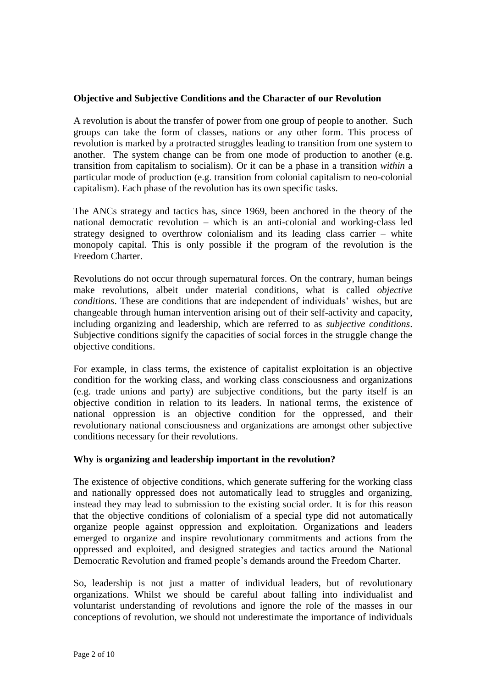### **Objective and Subjective Conditions and the Character of our Revolution**

A revolution is about the transfer of power from one group of people to another. Such groups can take the form of classes, nations or any other form. This process of revolution is marked by a protracted struggles leading to transition from one system to another. The system change can be from one mode of production to another (e.g. transition from capitalism to socialism). Or it can be a phase in a transition *within* a particular mode of production (e.g. transition from colonial capitalism to neo-colonial capitalism). Each phase of the revolution has its own specific tasks.

The ANCs strategy and tactics has, since 1969, been anchored in the theory of the national democratic revolution – which is an anti-colonial and working-class led strategy designed to overthrow colonialism and its leading class carrier – white monopoly capital. This is only possible if the program of the revolution is the Freedom Charter.

Revolutions do not occur through supernatural forces. On the contrary, human beings make revolutions, albeit under material conditions, what is called *objective conditions*. These are conditions that are independent of individuals' wishes, but are changeable through human intervention arising out of their self-activity and capacity, including organizing and leadership, which are referred to as *subjective conditions*. Subjective conditions signify the capacities of social forces in the struggle change the objective conditions.

For example, in class terms, the existence of capitalist exploitation is an objective condition for the working class, and working class consciousness and organizations (e.g. trade unions and party) are subjective conditions, but the party itself is an objective condition in relation to its leaders. In national terms, the existence of national oppression is an objective condition for the oppressed, and their revolutionary national consciousness and organizations are amongst other subjective conditions necessary for their revolutions.

#### **Why is organizing and leadership important in the revolution?**

The existence of objective conditions, which generate suffering for the working class and nationally oppressed does not automatically lead to struggles and organizing, instead they may lead to submission to the existing social order. It is for this reason that the objective conditions of colonialism of a special type did not automatically organize people against oppression and exploitation. Organizations and leaders emerged to organize and inspire revolutionary commitments and actions from the oppressed and exploited, and designed strategies and tactics around the National Democratic Revolution and framed people"s demands around the Freedom Charter.

So, leadership is not just a matter of individual leaders, but of revolutionary organizations. Whilst we should be careful about falling into individualist and voluntarist understanding of revolutions and ignore the role of the masses in our conceptions of revolution, we should not underestimate the importance of individuals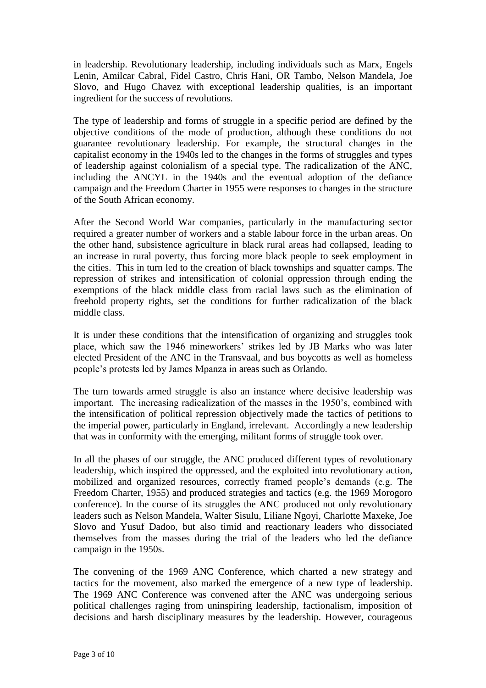in leadership. Revolutionary leadership, including individuals such as Marx, Engels Lenin, Amilcar Cabral, Fidel Castro, Chris Hani, OR Tambo, Nelson Mandela, Joe Slovo, and Hugo Chavez with exceptional leadership qualities, is an important ingredient for the success of revolutions.

The type of leadership and forms of struggle in a specific period are defined by the objective conditions of the mode of production, although these conditions do not guarantee revolutionary leadership. For example, the structural changes in the capitalist economy in the 1940s led to the changes in the forms of struggles and types of leadership against colonialism of a special type. The radicalization of the ANC, including the ANCYL in the 1940s and the eventual adoption of the defiance campaign and the Freedom Charter in 1955 were responses to changes in the structure of the South African economy.

After the Second World War companies, particularly in the manufacturing sector required a greater number of workers and a stable labour force in the urban areas. On the other hand, subsistence agriculture in black rural areas had collapsed, leading to an increase in rural poverty, thus forcing more black people to seek employment in the cities. This in turn led to the creation of black townships and squatter camps. The repression of strikes and intensification of colonial oppression through ending the exemptions of the black middle class from racial laws such as the elimination of freehold property rights, set the conditions for further radicalization of the black middle class.

It is under these conditions that the intensification of organizing and struggles took place, which saw the 1946 mineworkers" strikes led by JB Marks who was later elected President of the ANC in the Transvaal, and bus boycotts as well as homeless people"s protests led by James Mpanza in areas such as Orlando.

The turn towards armed struggle is also an instance where decisive leadership was important. The increasing radicalization of the masses in the 1950's, combined with the intensification of political repression objectively made the tactics of petitions to the imperial power, particularly in England, irrelevant. Accordingly a new leadership that was in conformity with the emerging, militant forms of struggle took over.

In all the phases of our struggle, the ANC produced different types of revolutionary leadership, which inspired the oppressed, and the exploited into revolutionary action, mobilized and organized resources, correctly framed people"s demands (e.g. The Freedom Charter, 1955) and produced strategies and tactics (e.g. the 1969 Morogoro conference). In the course of its struggles the ANC produced not only revolutionary leaders such as Nelson Mandela, Walter Sisulu, Liliane Ngoyi, Charlotte Maxeke, Joe Slovo and Yusuf Dadoo, but also timid and reactionary leaders who dissociated themselves from the masses during the trial of the leaders who led the defiance campaign in the 1950s.

The convening of the 1969 ANC Conference, which charted a new strategy and tactics for the movement, also marked the emergence of a new type of leadership. The 1969 ANC Conference was convened after the ANC was undergoing serious political challenges raging from uninspiring leadership, factionalism, imposition of decisions and harsh disciplinary measures by the leadership. However, courageous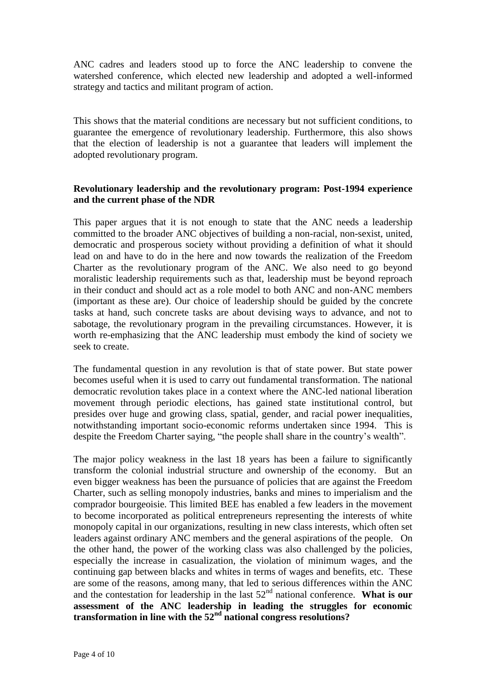ANC cadres and leaders stood up to force the ANC leadership to convene the watershed conference, which elected new leadership and adopted a well-informed strategy and tactics and militant program of action.

This shows that the material conditions are necessary but not sufficient conditions, to guarantee the emergence of revolutionary leadership. Furthermore, this also shows that the election of leadership is not a guarantee that leaders will implement the adopted revolutionary program.

### **Revolutionary leadership and the revolutionary program: Post-1994 experience and the current phase of the NDR**

This paper argues that it is not enough to state that the ANC needs a leadership committed to the broader ANC objectives of building a non-racial, non-sexist, united, democratic and prosperous society without providing a definition of what it should lead on and have to do in the here and now towards the realization of the Freedom Charter as the revolutionary program of the ANC. We also need to go beyond moralistic leadership requirements such as that, leadership must be beyond reproach in their conduct and should act as a role model to both ANC and non-ANC members (important as these are). Our choice of leadership should be guided by the concrete tasks at hand, such concrete tasks are about devising ways to advance, and not to sabotage, the revolutionary program in the prevailing circumstances. However, it is worth re-emphasizing that the ANC leadership must embody the kind of society we seek to create.

The fundamental question in any revolution is that of state power. But state power becomes useful when it is used to carry out fundamental transformation. The national democratic revolution takes place in a context where the ANC-led national liberation movement through periodic elections, has gained state institutional control, but presides over huge and growing class, spatial, gender, and racial power inequalities, notwithstanding important socio-economic reforms undertaken since 1994. This is despite the Freedom Charter saying, "the people shall share in the country's wealth".

The major policy weakness in the last 18 years has been a failure to significantly transform the colonial industrial structure and ownership of the economy. But an even bigger weakness has been the pursuance of policies that are against the Freedom Charter, such as selling monopoly industries, banks and mines to imperialism and the comprador bourgeoisie. This limited BEE has enabled a few leaders in the movement to become incorporated as political entrepreneurs representing the interests of white monopoly capital in our organizations, resulting in new class interests, which often set leaders against ordinary ANC members and the general aspirations of the people. On the other hand, the power of the working class was also challenged by the policies, especially the increase in casualization, the violation of minimum wages, and the continuing gap between blacks and whites in terms of wages and benefits, etc. These are some of the reasons, among many, that led to serious differences within the ANC and the contestation for leadership in the last  $52<sup>nd</sup>$  national conference. **What is our assessment of the ANC leadership in leading the struggles for economic transformation in line with the 52nd national congress resolutions?**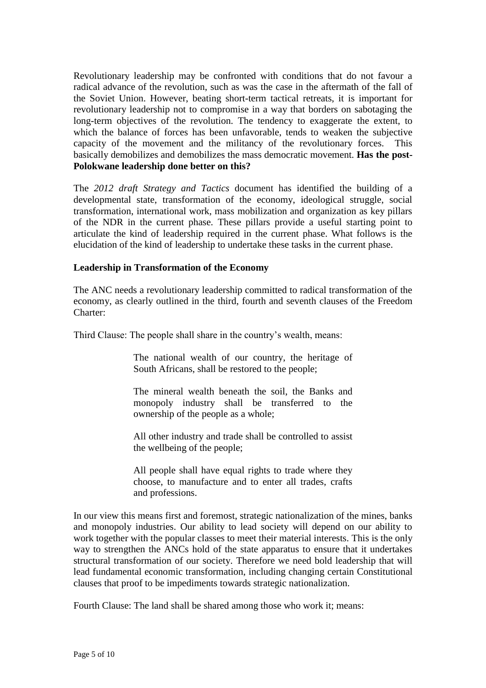Revolutionary leadership may be confronted with conditions that do not favour a radical advance of the revolution, such as was the case in the aftermath of the fall of the Soviet Union. However, beating short-term tactical retreats, it is important for revolutionary leadership not to compromise in a way that borders on sabotaging the long-term objectives of the revolution. The tendency to exaggerate the extent, to which the balance of forces has been unfavorable, tends to weaken the subjective capacity of the movement and the militancy of the revolutionary forces. This basically demobilizes and demobilizes the mass democratic movement. **Has the post-Polokwane leadership done better on this?** 

The *2012 draft Strategy and Tactics* document has identified the building of a developmental state, transformation of the economy, ideological struggle, social transformation, international work, mass mobilization and organization as key pillars of the NDR in the current phase. These pillars provide a useful starting point to articulate the kind of leadership required in the current phase. What follows is the elucidation of the kind of leadership to undertake these tasks in the current phase.

#### **Leadership in Transformation of the Economy**

The ANC needs a revolutionary leadership committed to radical transformation of the economy, as clearly outlined in the third, fourth and seventh clauses of the Freedom Charter:

Third Clause: The people shall share in the country"s wealth, means:

The national wealth of our country, the heritage of South Africans, shall be restored to the people;

The mineral wealth beneath the soil, the Banks and monopoly industry shall be transferred to the ownership of the people as a whole;

All other industry and trade shall be controlled to assist the wellbeing of the people;

All people shall have equal rights to trade where they choose, to manufacture and to enter all trades, crafts and professions.

In our view this means first and foremost, strategic nationalization of the mines, banks and monopoly industries. Our ability to lead society will depend on our ability to work together with the popular classes to meet their material interests. This is the only way to strengthen the ANCs hold of the state apparatus to ensure that it undertakes structural transformation of our society. Therefore we need bold leadership that will lead fundamental economic transformation, including changing certain Constitutional clauses that proof to be impediments towards strategic nationalization.

Fourth Clause: The land shall be shared among those who work it; means: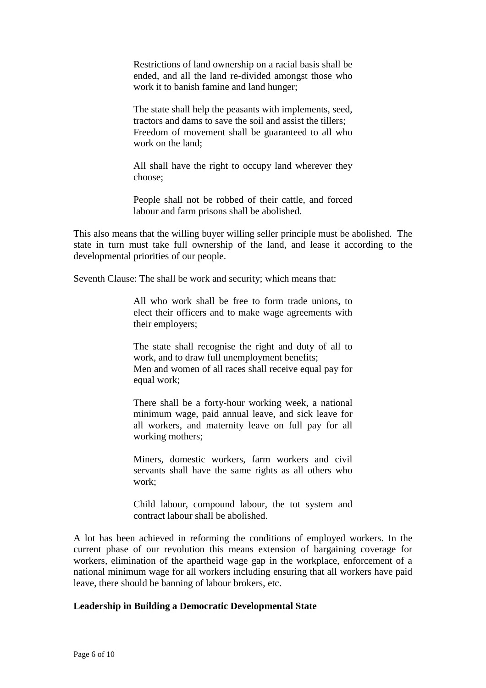Restrictions of land ownership on a racial basis shall be ended, and all the land re-divided amongst those who work it to banish famine and land hunger;

The state shall help the peasants with implements, seed, tractors and dams to save the soil and assist the tillers; Freedom of movement shall be guaranteed to all who work on the land;

All shall have the right to occupy land wherever they choose;

People shall not be robbed of their cattle, and forced labour and farm prisons shall be abolished.

This also means that the willing buyer willing seller principle must be abolished. The state in turn must take full ownership of the land, and lease it according to the developmental priorities of our people.

Seventh Clause: The shall be work and security; which means that:

All who work shall be free to form trade unions, to elect their officers and to make wage agreements with their employers;

The state shall recognise the right and duty of all to work, and to draw full unemployment benefits; Men and women of all races shall receive equal pay for equal work;

There shall be a forty-hour working week, a national minimum wage, paid annual leave, and sick leave for all workers, and maternity leave on full pay for all working mothers;

Miners, domestic workers, farm workers and civil servants shall have the same rights as all others who work;

Child labour, compound labour, the tot system and contract labour shall be abolished.

A lot has been achieved in reforming the conditions of employed workers. In the current phase of our revolution this means extension of bargaining coverage for workers, elimination of the apartheid wage gap in the workplace, enforcement of a national minimum wage for all workers including ensuring that all workers have paid leave, there should be banning of labour brokers, etc.

#### **Leadership in Building a Democratic Developmental State**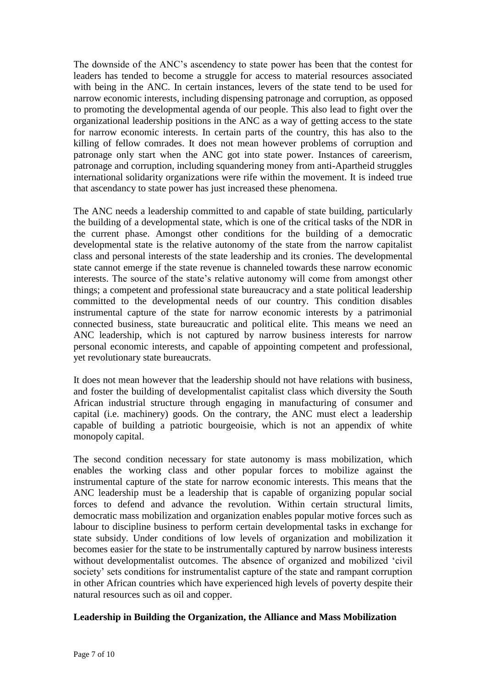The downside of the ANC"s ascendency to state power has been that the contest for leaders has tended to become a struggle for access to material resources associated with being in the ANC. In certain instances, levers of the state tend to be used for narrow economic interests, including dispensing patronage and corruption, as opposed to promoting the developmental agenda of our people. This also lead to fight over the organizational leadership positions in the ANC as a way of getting access to the state for narrow economic interests. In certain parts of the country, this has also to the killing of fellow comrades. It does not mean however problems of corruption and patronage only start when the ANC got into state power. Instances of careerism, patronage and corruption, including squandering money from anti-Apartheid struggles international solidarity organizations were rife within the movement. It is indeed true that ascendancy to state power has just increased these phenomena.

The ANC needs a leadership committed to and capable of state building, particularly the building of a developmental state, which is one of the critical tasks of the NDR in the current phase. Amongst other conditions for the building of a democratic developmental state is the relative autonomy of the state from the narrow capitalist class and personal interests of the state leadership and its cronies. The developmental state cannot emerge if the state revenue is channeled towards these narrow economic interests. The source of the state's relative autonomy will come from amongst other things; a competent and professional state bureaucracy and a state political leadership committed to the developmental needs of our country. This condition disables instrumental capture of the state for narrow economic interests by a patrimonial connected business, state bureaucratic and political elite. This means we need an ANC leadership, which is not captured by narrow business interests for narrow personal economic interests, and capable of appointing competent and professional, yet revolutionary state bureaucrats.

It does not mean however that the leadership should not have relations with business, and foster the building of developmentalist capitalist class which diversity the South African industrial structure through engaging in manufacturing of consumer and capital (i.e. machinery) goods. On the contrary, the ANC must elect a leadership capable of building a patriotic bourgeoisie, which is not an appendix of white monopoly capital.

The second condition necessary for state autonomy is mass mobilization, which enables the working class and other popular forces to mobilize against the instrumental capture of the state for narrow economic interests. This means that the ANC leadership must be a leadership that is capable of organizing popular social forces to defend and advance the revolution. Within certain structural limits, democratic mass mobilization and organization enables popular motive forces such as labour to discipline business to perform certain developmental tasks in exchange for state subsidy. Under conditions of low levels of organization and mobilization it becomes easier for the state to be instrumentally captured by narrow business interests without developmentalist outcomes. The absence of organized and mobilized "civil society' sets conditions for instrumentalist capture of the state and rampant corruption in other African countries which have experienced high levels of poverty despite their natural resources such as oil and copper.

# **Leadership in Building the Organization, the Alliance and Mass Mobilization**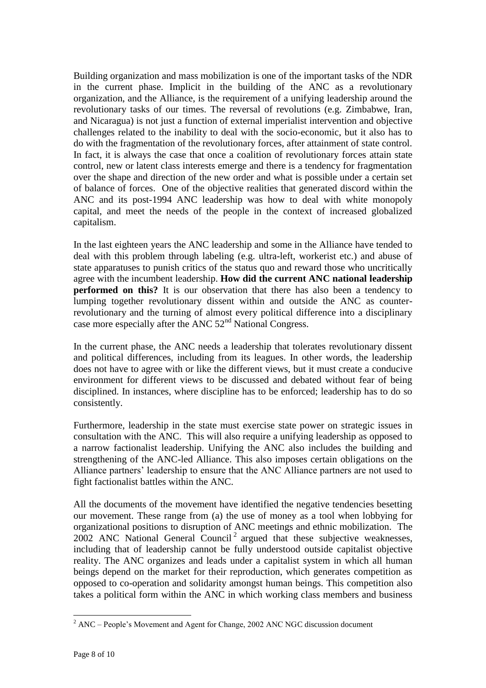Building organization and mass mobilization is one of the important tasks of the NDR in the current phase. Implicit in the building of the ANC as a revolutionary organization, and the Alliance, is the requirement of a unifying leadership around the revolutionary tasks of our times. The reversal of revolutions (e.g. Zimbabwe, Iran, and Nicaragua) is not just a function of external imperialist intervention and objective challenges related to the inability to deal with the socio-economic, but it also has to do with the fragmentation of the revolutionary forces, after attainment of state control. In fact, it is always the case that once a coalition of revolutionary forces attain state control, new or latent class interests emerge and there is a tendency for fragmentation over the shape and direction of the new order and what is possible under a certain set of balance of forces. One of the objective realities that generated discord within the ANC and its post-1994 ANC leadership was how to deal with white monopoly capital, and meet the needs of the people in the context of increased globalized capitalism.

In the last eighteen years the ANC leadership and some in the Alliance have tended to deal with this problem through labeling (e.g. ultra-left, workerist etc.) and abuse of state apparatuses to punish critics of the status quo and reward those who uncritically agree with the incumbent leadership. **How did the current ANC national leadership performed on this?** It is our observation that there has also been a tendency to lumping together revolutionary dissent within and outside the ANC as counterrevolutionary and the turning of almost every political difference into a disciplinary case more especially after the ANC  $52<sup>nd</sup>$  National Congress.

In the current phase, the ANC needs a leadership that tolerates revolutionary dissent and political differences, including from its leagues. In other words, the leadership does not have to agree with or like the different views, but it must create a conducive environment for different views to be discussed and debated without fear of being disciplined. In instances, where discipline has to be enforced; leadership has to do so consistently.

Furthermore, leadership in the state must exercise state power on strategic issues in consultation with the ANC. This will also require a unifying leadership as opposed to a narrow factionalist leadership. Unifying the ANC also includes the building and strengthening of the ANC-led Alliance. This also imposes certain obligations on the Alliance partners" leadership to ensure that the ANC Alliance partners are not used to fight factionalist battles within the ANC.

All the documents of the movement have identified the negative tendencies besetting our movement. These range from (a) the use of money as a tool when lobbying for organizational positions to disruption of ANC meetings and ethnic mobilization. The 2002 ANC National General Council<sup>2</sup> argued that these subjective weaknesses, including that of leadership cannot be fully understood outside capitalist objective reality. The ANC organizes and leads under a capitalist system in which all human beings depend on the market for their reproduction, which generates competition as opposed to co-operation and solidarity amongst human beings. This competition also takes a political form within the ANC in which working class members and business

 $\overline{a}$  $2^2$  ANC – People's Movement and Agent for Change, 2002 ANC NGC discussion document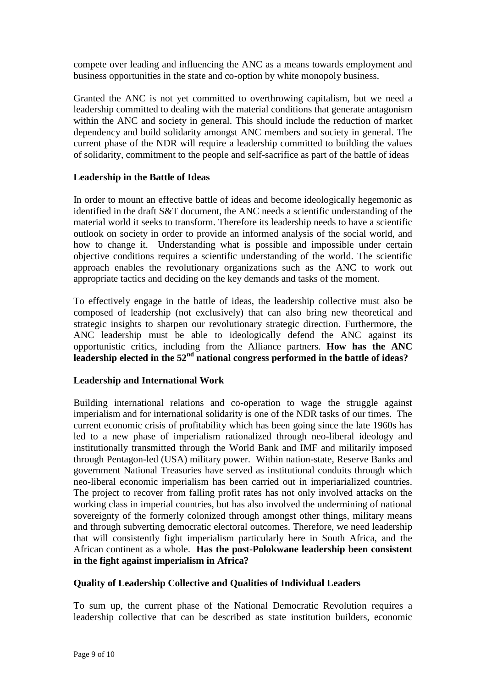compete over leading and influencing the ANC as a means towards employment and business opportunities in the state and co-option by white monopoly business.

Granted the ANC is not yet committed to overthrowing capitalism, but we need a leadership committed to dealing with the material conditions that generate antagonism within the ANC and society in general. This should include the reduction of market dependency and build solidarity amongst ANC members and society in general. The current phase of the NDR will require a leadership committed to building the values of solidarity, commitment to the people and self-sacrifice as part of the battle of ideas

# **Leadership in the Battle of Ideas**

In order to mount an effective battle of ideas and become ideologically hegemonic as identified in the draft S&T document, the ANC needs a scientific understanding of the material world it seeks to transform. Therefore its leadership needs to have a scientific outlook on society in order to provide an informed analysis of the social world, and how to change it. Understanding what is possible and impossible under certain objective conditions requires a scientific understanding of the world. The scientific approach enables the revolutionary organizations such as the ANC to work out appropriate tactics and deciding on the key demands and tasks of the moment.

To effectively engage in the battle of ideas, the leadership collective must also be composed of leadership (not exclusively) that can also bring new theoretical and strategic insights to sharpen our revolutionary strategic direction. Furthermore, the ANC leadership must be able to ideologically defend the ANC against its opportunistic critics, including from the Alliance partners. **How has the ANC leadership elected in the 52nd national congress performed in the battle of ideas?** 

# **Leadership and International Work**

Building international relations and co-operation to wage the struggle against imperialism and for international solidarity is one of the NDR tasks of our times. The current economic crisis of profitability which has been going since the late 1960s has led to a new phase of imperialism rationalized through neo-liberal ideology and institutionally transmitted through the World Bank and IMF and militarily imposed through Pentagon-led (USA) military power. Within nation-state, Reserve Banks and government National Treasuries have served as institutional conduits through which neo-liberal economic imperialism has been carried out in imperiarialized countries. The project to recover from falling profit rates has not only involved attacks on the working class in imperial countries, but has also involved the undermining of national sovereignty of the formerly colonized through amongst other things, military means and through subverting democratic electoral outcomes. Therefore, we need leadership that will consistently fight imperialism particularly here in South Africa, and the African continent as a whole. **Has the post-Polokwane leadership been consistent in the fight against imperialism in Africa?**

# **Quality of Leadership Collective and Qualities of Individual Leaders**

To sum up, the current phase of the National Democratic Revolution requires a leadership collective that can be described as state institution builders, economic